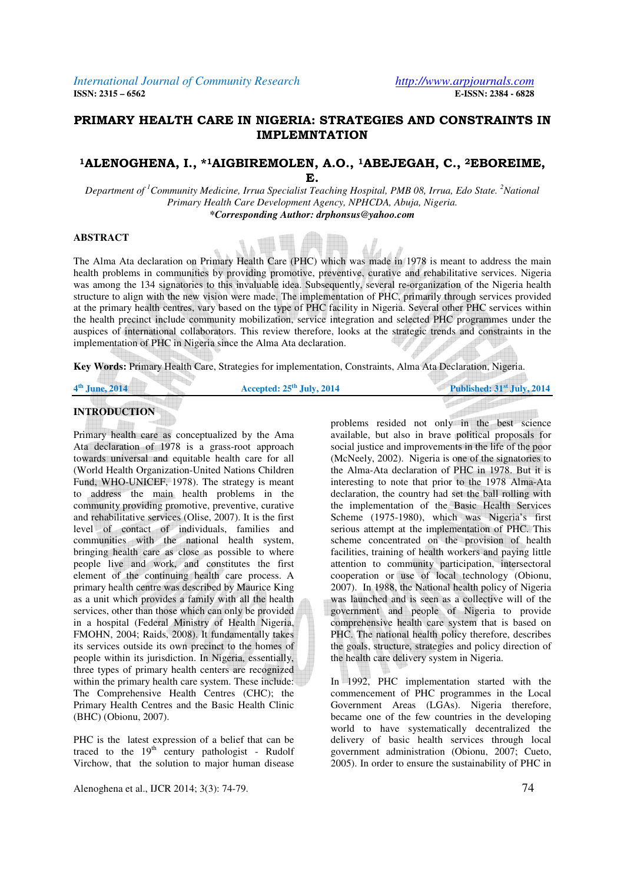## **PRIMARY HEALTH CARE IN NIGERIA: STRATEGIES AND CONSTRAINTS IN IMPLEMNTATION**

### **<sup>1</sup>ALENOGHENA, I., \*1AIGBIREMOLEN, A.O., 1ABEJEGAH, C., 2EBOREIME, E.**

*Department of <sup>1</sup>Community Medicine, Irrua Specialist Teaching Hospital, PMB 08, Irrua, Edo State.* <sup>2</sup>*National Primary Health Care Development Agency, NPHCDA, Abuja, Nigeria. \*Corresponding Author: drphonsus@yahoo.com*

### **ABSTRACT**

The Alma Ata declaration on Primary Health Care (PHC) which was made in 1978 is meant to address the main health problems in communities by providing promotive, preventive, curative and rehabilitative services. Nigeria was among the 134 signatories to this invaluable idea. Subsequently, several re-organization of the Nigeria health structure to align with the new vision were made. The implementation of PHC, primarily through services provided at the primary health centres, vary based on the type of PHC facility in Nigeria. Several other PHC services within the health precinct include community mobilization, service integration and selected PHC programmes under the auspices of international collaborators. This review therefore, looks at the strategic trends and constraints in the implementation of PHC in Nigeria since the Alma Ata declaration.

**Key Words:** Primary Health Care, Strategies for implementation, Constraints, Alma Ata Declaration, Nigeria.

| 4 <sup>th</sup> June, 2014 |  |
|----------------------------|--|

 $\mathbb{R}$ 

Accepted:  $25$ <sup>th</sup> July, 2014

### **INTRODUCTION**

Primary health care as conceptualized by the Ama Ata declaration of 1978 is a grass-root approach towards universal and equitable health care for all (World Health Organization-United Nations Children Fund, WHO-UNICEF, 1978). The strategy is meant to address the main health problems in the community providing promotive, preventive, curative and rehabilitative services (Olise, 2007). It is the first level of contact of individuals, families and communities with the national health system, bringing health care as close as possible to where people live and work, and constitutes the first element of the continuing health care process. A primary health centre was described by Maurice King as a unit which provides a family with all the health services, other than those which can only be provided in a hospital (Federal Ministry of Health Nigeria, FMOHN, 2004; Raids, 2008). It fundamentally takes its services outside its own precinct to the homes of people within its jurisdiction. In Nigeria, essentially, three types of primary health centers are recognized within the primary health care system. These include: The Comprehensive Health Centres (CHC); the Primary Health Centres and the Basic Health Clinic (BHC) (Obionu, 2007).

PHC is the latest expression of a belief that can be traced to the  $19<sup>th</sup>$  century pathologist - Rudolf Virchow, that the solution to major human disease

Alenoghena et al., IJCR 2014; 3(3): 74-79. 74

problems resided not only in the best science available, but also in brave political proposals for social justice and improvements in the life of the poor (McNeely, 2002). Nigeria is one of the signatories to the Alma-Ata declaration of PHC in 1978. But it is interesting to note that prior to the 1978 Alma-Ata declaration, the country had set the ball rolling with the implementation of the Basic Health Services Scheme (1975-1980), which was Nigeria's first serious attempt at the implementation of PHC. This scheme concentrated on the provision of health facilities, training of health workers and paying little attention to community participation, intersectoral cooperation or use of local technology (Obionu, 2007). In 1988, the National health policy of Nigeria was launched and is seen as a collective will of the government and people of Nigeria to provide comprehensive health care system that is based on PHC. The national health policy therefore, describes the goals, structure, strategies and policy direction of the health care delivery system in Nigeria.

In 1992, PHC implementation started with the commencement of PHC programmes in the Local Government Areas (LGAs). Nigeria therefore, became one of the few countries in the developing world to have systematically decentralized the delivery of basic health services through local government administration (Obionu, 2007; Cueto, 2005). In order to ensure the sustainability of PHC in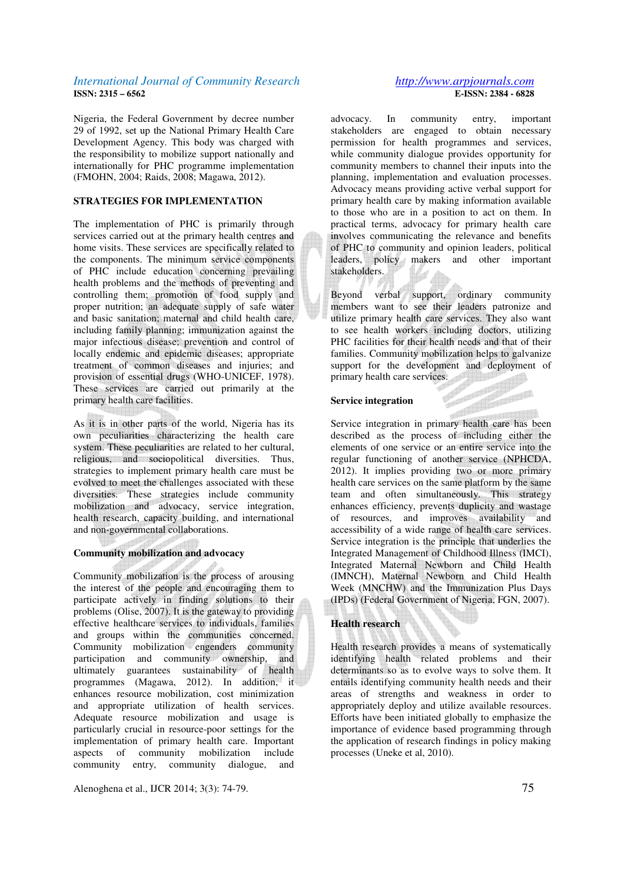Nigeria, the Federal Government by decree number 29 of 1992, set up the National Primary Health Care Development Agency. This body was charged with the responsibility to mobilize support nationally and internationally for PHC programme implementation (FMOHN, 2004; Raids, 2008; Magawa, 2012).

### **STRATEGIES FOR IMPLEMENTATION**

The implementation of PHC is primarily through services carried out at the primary health centres and home visits. These services are specifically related to the components. The minimum service components of PHC include education concerning prevailing health problems and the methods of preventing and controlling them; promotion of food supply and proper nutrition; an adequate supply of safe water and basic sanitation; maternal and child health care, including family planning; immunization against the major infectious disease; prevention and control of locally endemic and epidemic diseases; appropriate treatment of common diseases and injuries; and provision of essential drugs (WHO-UNICEF, 1978). These services are carried out primarily at the primary health care facilities.

As it is in other parts of the world, Nigeria has its own peculiarities characterizing the health care system. These peculiarities are related to her cultural, religious, and sociopolitical diversities. Thus, strategies to implement primary health care must be evolved to meet the challenges associated with these diversities. These strategies include community mobilization and advocacy, service integration, health research, capacity building, and international and non-governmental collaborations.

#### **Community mobilization and advocacy**

Community mobilization is the process of arousing the interest of the people and encouraging them to participate actively in finding solutions to their problems (Olise, 2007). It is the gateway to providing effective healthcare services to individuals, families and groups within the communities concerned. Community mobilization engenders community participation and community ownership, and ultimately guarantees sustainability of health programmes (Magawa, 2012). In addition, it enhances resource mobilization, cost minimization and appropriate utilization of health services. Adequate resource mobilization and usage is particularly crucial in resource-poor settings for the implementation of primary health care. Important aspects of community mobilization include community entry, community dialogue, and

Alenoghena et al., IJCR 2014; 3(3): 74-79.

# **E-ISSN: 2384 - 6828**

advocacy. In community entry, important stakeholders are engaged to obtain necessary permission for health programmes and services, while community dialogue provides opportunity for community members to channel their inputs into the planning, implementation and evaluation processes. Advocacy means providing active verbal support for primary health care by making information available to those who are in a position to act on them. In practical terms, advocacy for primary health care involves communicating the relevance and benefits of PHC to community and opinion leaders, political leaders, policy makers and other important stakeholders.

Beyond verbal support, ordinary community members want to see their leaders patronize and utilize primary health care services. They also want to see health workers including doctors, utilizing PHC facilities for their health needs and that of their families. Community mobilization helps to galvanize support for the development and deployment of primary health care services.<br>Service integration

### **Service integration**

Service integration<br>Service integration in primary health care has been described as the process of including either the elements of one service or an entire service into the regular functioning of another service (NPHCDA, 2012). It implies providing two or more primary health care services on the same platform by the same team and often simultaneously. This strategy enhances efficiency, prevents duplicity and wastage of resources, and improves availability and accessibility of a wide range of health care services. Service integration is the principle that underlies the Integrated Management of Childhood Illness (IMCI), Integrated Maternal Newborn and Child Health (IMNCH), Maternal Newborn and Child Health Week (MNCHW) and the Immunization Plus Days (IPDs) (Federal Government of Nigeria, FGN, 2007).

### **Health research**

Health research provides a means of systematically identifying health related problems and their determinants so as to evolve ways to solve them. It entails identifying community health needs and their areas of strengths and weakness in order to appropriately deploy and utilize available resources. Efforts have been initiated globally to emphasize the importance of evidence based programming through the application of research findings in policy making processes (Uneke et al, 2010).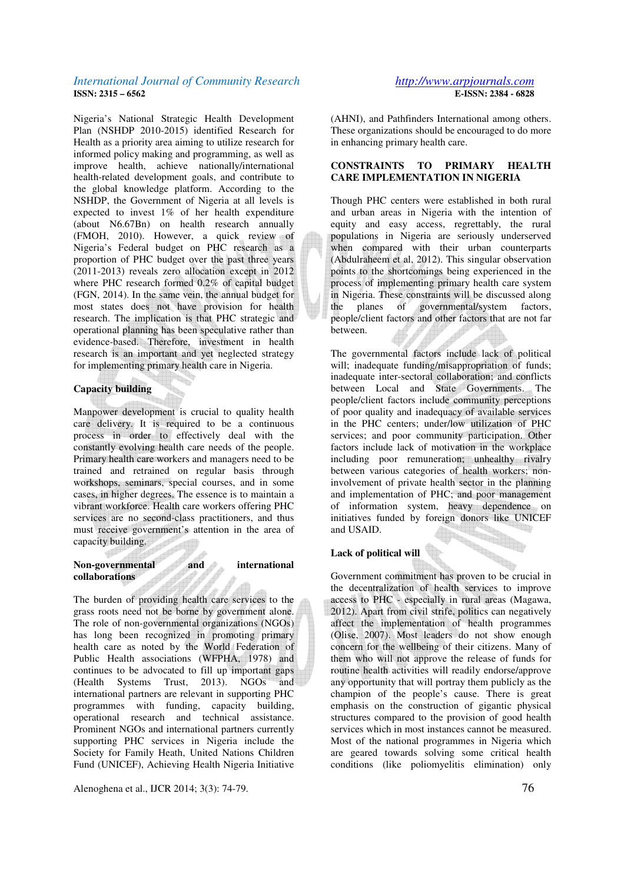Nigeria's National Strategic Health Development Plan (NSHDP 2010-2015) identified Research for Health as a priority area aiming to utilize research for informed policy making and programming, as well as improve health, achieve nationally/international health-related development goals, and contribute to the global knowledge platform. According to the NSHDP, the Government of Nigeria at all levels is expected to invest 1% of her health expenditure (about N6.67Bn) on health research annually (FMOH, 2010). However, a quick review of Nigeria's Federal budget on PHC research as a proportion of PHC budget over the past three years (2011-2013) reveals zero allocation except in 2012 where PHC research formed 0.2% of capital budget (FGN, 2014). In the same vein, the annual budget for most states does not have provision for health research. The implication is that PHC strategic and operational planning has been speculative rather than evidence-based. Therefore, investment in health research is an important and yet neglected strategy for implementing primary health care in Nigeria.

### **Capacity building**

Manpower development is crucial to quality health care delivery. It is required to be a continuous process in order to effectively deal with the constantly evolving health care needs of the people. Primary health care workers and managers need to be trained and retrained on regular basis through workshops, seminars, special courses, and in some cases, in higher degrees. The essence is to maintain a vibrant workforce. Health care workers offering PHC services are no second-class practitioners, and thus must receive government's attention in the area of capacity building.

### Non-governmental and **international collaborations**

The burden of providing health care services to the grass roots need not be borne by government alone. The role of non-governmental organizations (NGOs) has long been recognized in promoting primary health care as noted by the World Federation of Public Health associations (WFPHA, 1978) and continues to be advocated to fill up important gaps (Health Systems Trust, 2013). NGOs and international partners are relevant in supporting PHC programmes with funding, capacity building, operational research and technical assistance. Prominent NGOs and international partners currently supporting PHC services in Nigeria include the Society for Family Heath, United Nations Children Fund (UNICEF), Achieving Health Nigeria Initiative

Alenoghena et al., IJCR 2014; 3(3): 74-79. 76

(AHNI), and Pathfinders International among others. These organizations should be encouraged to do more in enhancing primary health care.

### **CONSTRAINTS TO PRIMARY HEALTH CARE IMPLEMENTATION IN NIGERIA**

Though PHC centers were established in both rural and urban areas in Nigeria with the intention of equity and easy access, regrettably, the rural populations in Nigeria are seriously underserved when compared with their urban counterparts (Abdulraheem et al, 2012). This singular observation points to the shortcomings being experienced in the process of implementing primary health care system in Nigeria. These constraints will be discussed along<br>the planes of governmental/system factors. the planes of governmental/system factors, people/client factors and other factors that are not far between.

The governmental factors include lack of political will; inadequate funding/misappropriation of funds; inadequate inter-sectoral collaboration; and conflicts between Local and State Governments. The people/client factors include community perceptions of poor quality and inadequacy of available services in the PHC centers; under/low utilization of PHC services; and poor community participation. Other factors include lack of motivation in the workplace including poor remuneration; unhealthy rivalry between various categories of health workers; noninvolvement of private health sector in the planning and implementation of PHC; and poor management of information system, heavy dependence on initiatives funded by foreign donors like UNICEF and USAID.

### **Lack of political will**

Government commitment has proven to be crucial in the decentralization of health services to improve access to PHC - especially in rural areas (Magawa, 2012). Apart from civil strife, politics can negatively affect the implementation of health programmes (Olise, 2007). Most leaders do not show enough concern for the wellbeing of their citizens. Many of them who will not approve the release of funds for routine health activities will readily endorse/approve any opportunity that will portray them publicly as the champion of the people's cause. There is great emphasis on the construction of gigantic physical structures compared to the provision of good health services which in most instances cannot be measured. Most of the national programmes in Nigeria which are geared towards solving some critical health conditions (like poliomyelitis elimination) only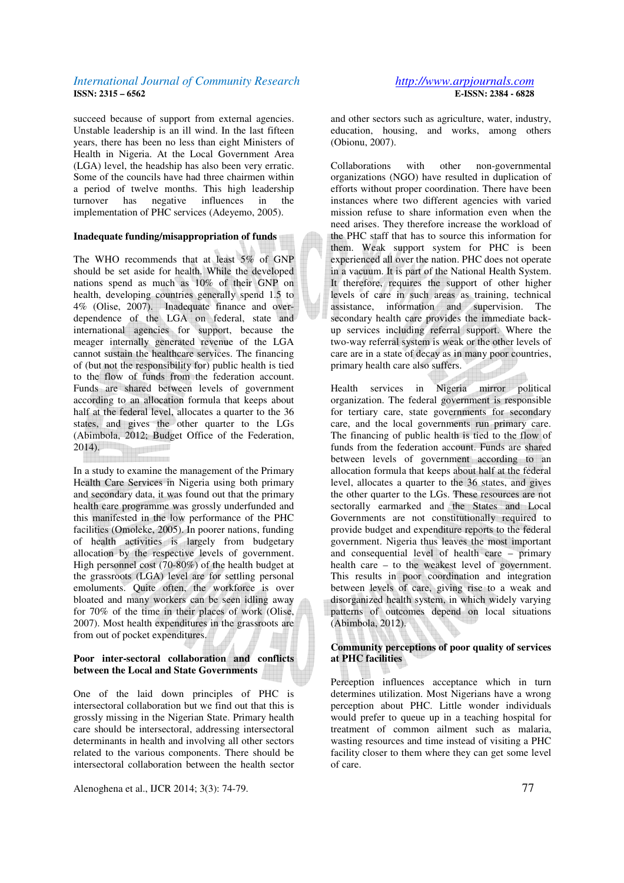succeed because of support from external agencies. Unstable leadership is an ill wind. In the last fifteen years, there has been no less than eight Ministers of Health in Nigeria. At the Local Government Area (LGA) level, the headship has also been very erratic. Some of the councils have had three chairmen within a period of twelve months. This high leadership turnover has negative influences in the implementation of PHC services (Adeyemo, 2005).

### **Inadequate funding/misappropriation of funds**

The WHO recommends that at least 5% of GNP should be set aside for health. While the developed nations spend as much as 10% of their GNP on health, developing countries generally spend 1.5 to 4% (Olise, 2007). Inadequate finance and overdependence of the LGA on federal, state and international agencies for support, because the meager internally generated revenue of the LGA cannot sustain the healthcare services. The financing of (but not the responsibility for) public health is tied to the flow of funds from the federation account. Funds are shared between levels of government according to an allocation formula that keeps about half at the federal level, allocates a quarter to the 36 states, and gives the other quarter to the LGs (Abimbola, 2012; Budget Office of the Federation, 2014).

In a study to examine the management of the Primary Health Care Services in Nigeria using both primary and secondary data, it was found out that the primary health care programme was grossly underfunded and this manifested in the low performance of the PHC facilities (Omoleke, 2005). In poorer nations, funding of health activities is largely from budgetary allocation by the respective levels of government. High personnel cost (70-80%) of the health budget at the grassroots (LGA) level are for settling personal emoluments. Quite often, the workforce is over bloated and many workers can be seen idling away for 70% of the time in their places of work (Olise, 2007). Most health expenditures in the grassroots are from out of pocket expenditures.

**K**<br>Selectrolectrolectrolectr

### **Poor inter-sectoral collaboration and conflicts between the Local and State Governments**

One of the laid down principles of PHC is intersectoral collaboration but we find out that this is grossly missing in the Nigerian State. Primary health care should be intersectoral, addressing intersectoral determinants in health and involving all other sectors related to the various components. There should be intersectoral collaboration between the health sector

Alenoghena et al., IJCR 2014; 3(3): 74-79. 77

and other sectors such as agriculture, water, industry, education, housing, and works, among others (Obionu, 2007).

Collaborations with other non-governmental organizations (NGO) have resulted in duplication of efforts without proper coordination. There have been instances where two different agencies with varied mission refuse to share information even when the need arises. They therefore increase the workload of the PHC staff that has to source this information for them. Weak support system for PHC is been experienced all over the nation. PHC does not operate in a vacuum. It is part of the National Health System. It therefore, requires the support of other higher levels of care in such areas as training, technical assistance, information and supervision. The secondary health care provides the immediate backup services including referral support. Where the two-way referral system is weak or the other levels of care are in a state of decay as in many poor countries, primary health care also suffers.

Health services in Nigeria mirror political organization. The federal government is responsible for tertiary care, state governments for secondary care, and the local governments run primary care. The financing of public health is tied to the flow of funds from the federation account. Funds are shared between levels of government according to an allocation formula that keeps about half at the federal level, allocates a quarter to the 36 states, and gives the other quarter to the LGs. These resources are not sectorally earmarked and the States and Local Governments are not constitutionally required to provide budget and expenditure reports to the federal government. Nigeria thus leaves the most important and consequential level of health care – primary health care – to the weakest level of government. This results in poor coordination and integration between levels of care, giving rise to a weak and disorganized health system, in which widely varying patterns of outcomes depend on local situations (Abimbola, 2012).

### **Community perceptions of poor quality of services at PHC facilities**

Perception influences acceptance which in turn determines utilization. Most Nigerians have a wrong perception about PHC. Little wonder individuals would prefer to queue up in a teaching hospital for treatment of common ailment such as malaria, wasting resources and time instead of visiting a PHC facility closer to them where they can get some level of care.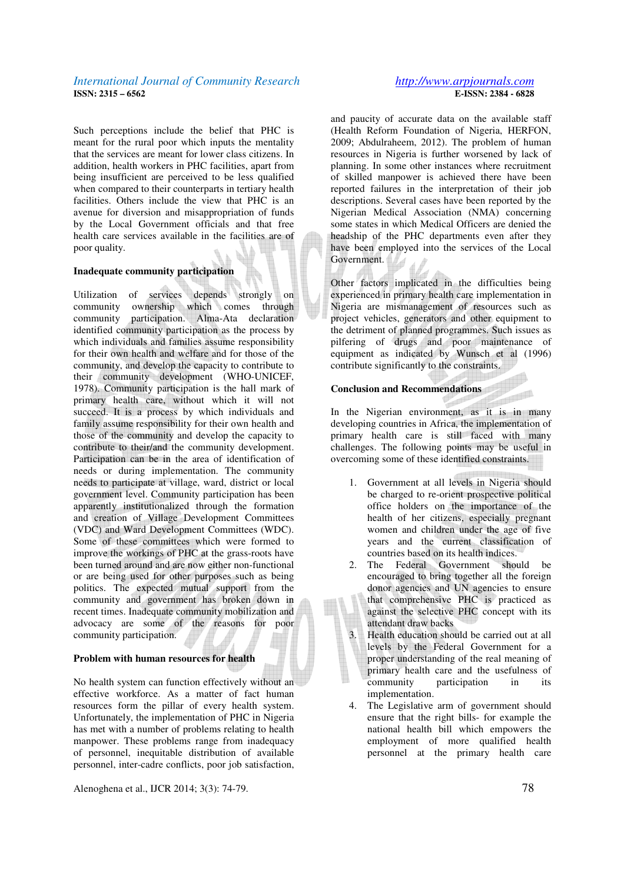Such perceptions include the belief that PHC is meant for the rural poor which inputs the mentality that the services are meant for lower class citizens. In addition, health workers in PHC facilities, apart from being insufficient are perceived to be less qualified when compared to their counterparts in tertiary health facilities. Others include the view that PHC is an avenue for diversion and misappropriation of funds by the Local Government officials and that free health care services available in the facilities are of poor quality.

### **Inadequate community participation**

Utilization of services depends strongly on community ownership which comes through community participation. Alma-Ata declaration identified community participation as the process by which individuals and families assume responsibility for their own health and welfare and for those of the community, and develop the capacity to contribute to their community development (WHO-UNICEF, 1978). Community participation is the hall mark of primary health care, without which it will not succeed. It is a process by which individuals and family assume responsibility for their own health and those of the community and develop the capacity to contribute to their/and the community development. Participation can be in the area of identification of needs or during implementation. The community needs to participate at village, ward, district or local government level. Community participation has been apparently institutionalized through the formation and creation of Village Development Committees (VDC) and Ward Development Committees (WDC). Some of these committees which were formed to improve the workings of PHC at the grass-roots have been turned around and are now either non-functional or are being used for other purposes such as being politics. The expected mutual support from the community and government has broken down in recent times. Inadequate community mobilization and advocacy are some of the reasons for poor community participation.

### **Problem with human resources for health**

No health system can function effectively without an effective workforce. As a matter of fact human resources form the pillar of every health system. Unfortunately, the implementation of PHC in Nigeria has met with a number of problems relating to health manpower. These problems range from inadequacy of personnel, inequitable distribution of available personnel, inter-cadre conflicts, poor job satisfaction,

Alenoghena et al., IJCR 2014; 3(3): 74-79. 78

## **E-ISSN: 2384 - 6828**

and paucity of accurate data on the available staff (Health Reform Foundation of Nigeria, HERFON, 2009; Abdulraheem, 2012). The problem of human resources in Nigeria is further worsened by lack of planning. In some other instances where recruitment of skilled manpower is achieved there have been reported failures in the interpretation of their job descriptions. Several cases have been reported by the Nigerian Medical Association (NMA) concerning some states in which Medical Officers are denied the headship of the PHC departments even after they have been employed into the services of the Local Government.

Other factors implicated in the difficulties being experienced in primary health care implementation in Nigeria are mismanagement of resources such as project vehicles, generators and other equipment to the detriment of planned programmes. Such issues as pilfering of drugs and poor maintenance of equipment as indicated by Wunsch et al (1996) contribute significantly to the constraints.

#### **Conclusion and Recommendations**

In the Nigerian environment, as it is in many developing countries in Africa, the implementation of primary health care is still faced with many challenges. The following points may be useful in overcoming some of these identified constraints.

- 1. Government at all levels in Nigeria should be charged to re-orient prospective political office holders on the importance of the health of her citizens, especially pregnant women and children under the age of five years and the current classification of countries based on its health indices.
- 2. The Federal Government should be encouraged to bring together all the foreign donor agencies and UN agencies to ensure that comprehensive PHC is practiced as against the selective PHC concept with its attendant draw backs
- 3. Health education should be carried out at all levels by the Federal Government for a proper understanding of the real meaning of primary health care and the usefulness of community participation in its implementation.
- 4. The Legislative arm of government should ensure that the right bills- for example the national health bill which empowers the employment of more qualified health personnel at the primary health care